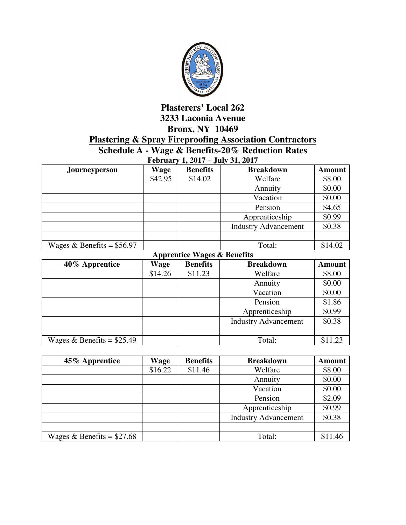

## **Plasterers' Local 262 3233 Laconia Avenue Bronx, NY 10469 Plastering & Spray Fireproofing Association Contractors Schedule A - Wage & Benefits-20% Reduction Rates**

**February 1, 2017 – July 31, 2017** 

| <b>Journeyperson</b>        | Wage    | <b>Benefits</b> | <b>Breakdown</b>            | <b>Amount</b> |
|-----------------------------|---------|-----------------|-----------------------------|---------------|
|                             | \$42.95 | \$14.02         | Welfare                     | \$8.00        |
|                             |         |                 | Annuity                     | \$0.00        |
|                             |         |                 | Vacation                    | \$0.00        |
|                             |         |                 | Pension                     | \$4.65        |
|                             |         |                 | Apprenticeship              | \$0.99        |
|                             |         |                 | <b>Industry Advancement</b> | \$0.38        |
|                             |         |                 |                             |               |
| Wages & Benefits = $$56.97$ |         |                 | Total:                      | \$14.02       |

**Apprentice Wages & Benefits** 

| 40% Apprentice              | Wage    | <b>Benefits</b> | <b>Breakdown</b>            | <b>Amount</b> |
|-----------------------------|---------|-----------------|-----------------------------|---------------|
|                             | \$14.26 | \$11.23         | Welfare                     | \$8.00        |
|                             |         |                 | Annuity                     | \$0.00        |
|                             |         |                 | Vacation                    | \$0.00        |
|                             |         |                 | Pension                     | \$1.86        |
|                             |         |                 | Apprenticeship              | \$0.99        |
|                             |         |                 | <b>Industry Advancement</b> | \$0.38        |
|                             |         |                 |                             |               |
| Wages & Benefits = $$25.49$ |         |                 | Total:                      | \$11.23       |

| 45% Apprentice              | <b>Wage</b> | <b>Benefits</b> | <b>Breakdown</b>            | <b>Amount</b> |
|-----------------------------|-------------|-----------------|-----------------------------|---------------|
|                             | \$16.22     | \$11.46         | Welfare                     | \$8.00        |
|                             |             |                 | Annuity                     | \$0.00        |
|                             |             |                 | Vacation                    | \$0.00        |
|                             |             |                 | Pension                     | \$2.09        |
|                             |             |                 | Apprenticeship              | \$0.99        |
|                             |             |                 | <b>Industry Advancement</b> | \$0.38        |
|                             |             |                 |                             |               |
| Wages & Benefits = $$27.68$ |             |                 | Total:                      | \$11.46       |